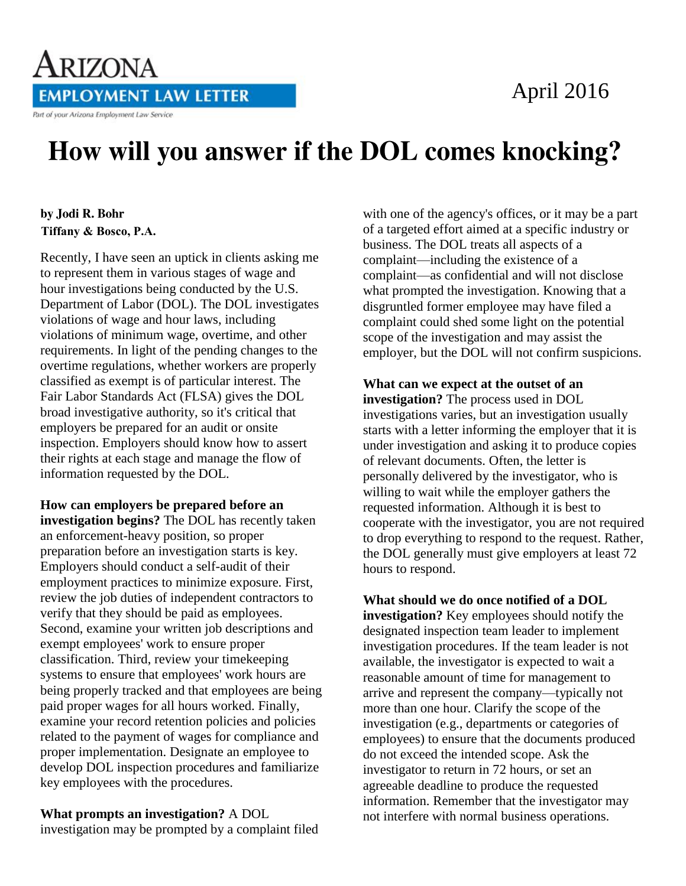# April 2016



# How will you answer if the DOL comes knocking?

### by **Jodi R. Bohr**  Tiffany & Bosco, P.A.

Recently, I have seen an uptick in clients asking me to represent them in various stages of wage and hour investigations being conducted by the U.S. Department of Labor (DOL). The DOL investigates violations of wage and hour laws, including violations of minimum wage, overtime, and other requirements. In light of the pending changes to the overtime regulations, whether workers are properly classified as exempt is of particular interest. The Fair Labor Standards Act (FLSA) gives the DOL broad investigative authority, so it's critical that employers be prepared for an audit or onsite inspection. Employers should know how to assert their rights at each stage and manage the flow of information requested by the DOL.

**How can employers be prepared before an investigation begins?** The DOL has recently taken an enforcement-heavy position, so proper preparation before an investigation starts is key. Employers should conduct a self-audit of their employment practices to minimize exposure. First, review the job duties of independent contractors to verify that they should be paid as employees. Second, examine your written job descriptions and exempt employees' work to ensure proper classification. Third, review your timekeeping systems to ensure that employees' work hours are being properly tracked and that employees are being paid proper wages for all hours worked. Finally, examine your record retention policies and policies related to the payment of wages for compliance and proper implementation. Designate an employee to develop DOL inspection procedures and familiarize key employees with the procedures.

**What prompts an investigation?** A DOL investigation may be prompted by a complaint filed with one of the agency's offices, or it may be a part of a targeted effort aimed at a specific industry or business. The DOL treats all aspects of a complaint—including the existence of a complaint—as confidential and will not disclose what prompted the investigation. Knowing that a disgruntled former employee may have filed a complaint could shed some light on the potential scope of the investigation and may assist the employer, but the DOL will not confirm suspicions.

## **What can we expect at the outset of an**

**investigation?** The process used in DOL investigations varies, but an investigation usually starts with a letter informing the employer that it is under investigation and asking it to produce copies of relevant documents. Often, the letter is personally delivered by the investigator, who is willing to wait while the employer gathers the requested information. Although it is best to cooperate with the investigator, you are not required to drop everything to respond to the request. Rather, the DOL generally must give employers at least 72 hours to respond.

#### **What should we do once notified of a DOL**

**investigation?** Key employees should notify the designated inspection team leader to implement investigation procedures. If the team leader is not available, the investigator is expected to wait a reasonable amount of time for management to arrive and represent the company—typically not more than one hour. Clarify the scope of the investigation (e.g., departments or categories of employees) to ensure that the documents produced do not exceed the intended scope. Ask the investigator to return in 72 hours, or set an agreeable deadline to produce the requested information. Remember that the investigator may not interfere with normal business operations.